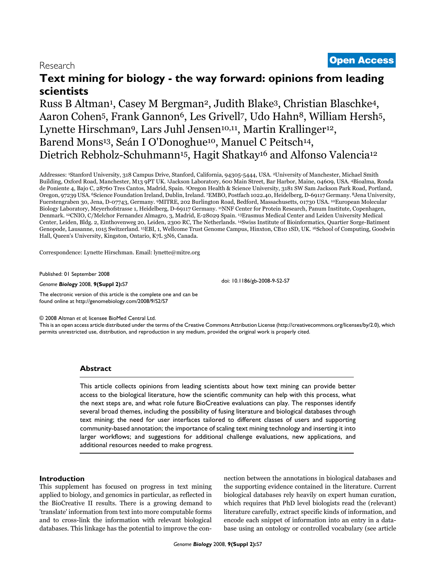# **Text mining for biology - the way forward: opinions from leading scientists**

Russ B Altman1, Casey M Bergman2, Judith Blake3, Christian Blaschke4, Aaron Cohen<sup>5</sup>, Frank Gannon<sup>6</sup>, Les Grivell<sup>7</sup>, Udo Hahn<sup>8</sup>, William Hersh<sup>5</sup>, Lynette Hirschman<sup>9</sup>, Lars Juhl Jensen<sup>10,11</sup>, Martin Krallinger<sup>12</sup>, Barend Mons<sup>13</sup>, Seán I O'Donoghue<sup>10</sup>, Manuel C Peitsch<sup>14</sup>, Dietrich Rebholz-Schuhmann<sup>15</sup>, Hagit Shatkay<sup>16</sup> and Alfonso Valencia<sup>12</sup>

Addresses: 1Stanford University, 318 Campus Drive, Stanford, California, 94305-5444, USA. 2University of Manchester, Michael Smith Building, Oxford Road, Manchester, M13 9PT UK. 3Jackson Laboratory, 600 Main Street, Bar Harbor, Maine, 04609, USA. 4Bioalma, Ronda de Poniente 4, Bajo C, 28760 Tres Cantos, Madrid, Spain. 5Oregon Health & Science University, 3181 SW Sam Jackson Park Road, Portland, Oregon, 97239 USA. 6Science Foundation Ireland, Dublin, Ireland. 7EMBO, Postfach 1022.40, Heidelberg, D-69117 Germany. 8Jena University, Fuerstengraben 30, Jena, D-07743, Germany. 9MITRE, 202 Burlington Road, Bedford, Massachusetts, 01730 USA. 10European Molecular Biology Laboratory, Meyerhofstrasse 1, Heidelberg, D-69117 Germany. <sup>11</sup>NNF Center for Protein Research, Panum Institute, Copenhagen, Denmark. 12CNIO, C/Melchor Fernandez Almagro, 3, Madrid, E-28029 Spain. 13Erasmus Medical Center and Leiden University Medical Center, Leiden, Bldg. 2, Einthovenweg 20, Leiden, 2300 RC, The Netherlands. 14Swiss Institute of Bioinformatics, Quartier Sorge-Batiment Genopode, Lausanne, 1015 Switzerland. 15EBI, 1, Wellcome Trust Genome Campus, Hinxton, CB10 1SD, UK. 16School of Computing, Goodwin Hall, Queen's University, Kingston, Ontario, K7L 3N6, Canada.

Correspondence: Lynette Hirschman. Email: lynette@mitre.org

Published: 01 September 2008

*Genome Biology* 2008, **9(Suppl 2):**S7 doi: 10.1186/gb-2008-9-S2-S7

[The electronic version of this article is the complete one and can be](http://genomebiology.com/2008/9/S2/S7)  found online at http://genomebiology.com/2008/9/S2/S7

© 2008 Altman *et al*; licensee BioMed Central Ltd.

[This is an open access article distributed under the terms of the Creative Commons Attribution License \(http://creativecommons.org/licenses/by/2.0\), which](http://creativecommons.org/licenses/by/2.0)  permits unrestricted use, distribution, and reproduction in any medium, provided the original work is properly cited.

# **Abstract**

This article collects opinions from leading scientists about how text mining can provide better access to the biological literature, how the scientific community can help with this process, what the next steps are, and what role future BioCreative evaluations can play. The responses identify several broad themes, including the possibility of fusing literature and biological databases through text mining; the need for user interfaces tailored to different classes of users and supporting community-based annotation; the importance of scaling text mining technology and inserting it into larger workflows; and suggestions for additional challenge evaluations, new applications, and additional resources needed to make progress.

# **Introduction**

This supplement has focused on progress in text mining applied to biology, and genomics in particular, as reflected in the BioCreative II results. There is a growing demand to 'translate' information from text into more computable forms and to cross-link the information with relevant biological databases. This linkage has the potential to improve the connection between the annotations in biological databases and the supporting evidence contained in the literature. Current biological databases rely heavily on expert human curation, which requires that PhD level biologists read the (relevant) literature carefully, extract specific kinds of information, and encode each snippet of information into an entry in a database using an ontology or controlled vocabulary (see article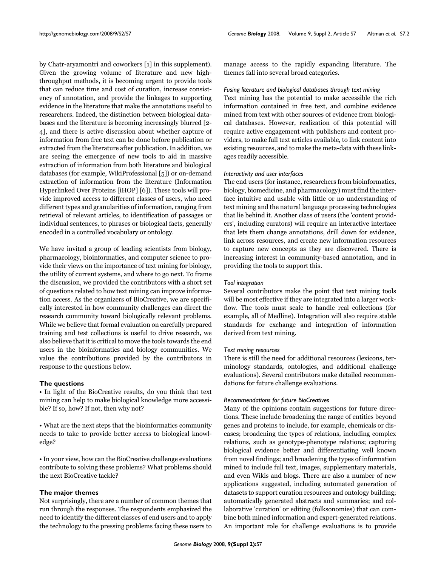by Chatr-aryamontri and coworkers [1] in this supplement). Given the growing volume of literature and new highthroughput methods, it is becoming urgent to provide tools that can reduce time and cost of curation, increase consistency of annotation, and provide the linkages to supporting evidence in the literature that make the annotations useful to researchers. Indeed, the distinction between biological databases and the literature is becoming increasingly blurred [2- 4], and there is active discussion about whether capture of information from free text can be done before publication or extracted from the literature after publication. In addition, we are seeing the emergence of new tools to aid in massive extraction of information from both literature and biological databases (for example, WikiProfessional [5]) or on-demand extraction of information from the literature (Information Hyperlinked Over Proteins [iHOP] [6]). These tools will provide improved access to different classes of users, who need different types and granularities of information, ranging from retrieval of relevant articles, to identification of passages or individual sentences, to phrases or biological facts, generally encoded in a controlled vocabulary or ontology.

We have invited a group of leading scientists from biology, pharmacology, bioinformatics, and computer science to provide their views on the importance of text mining for biology, the utility of current systems, and where to go next. To frame the discussion, we provided the contributors with a short set of questions related to how text mining can improve information access. As the organizers of BioCreative, we are specifically interested in how community challenges can direct the research community toward biologically relevant problems. While we believe that formal evaluation on carefully prepared training and test collections is useful to drive research, we also believe that it is critical to move the tools towards the end users in the bioinformatics and biology communities. We value the contributions provided by the contributors in response to the questions below.

#### **The questions**

• In light of the BioCreative results, do you think that text mining can help to make biological knowledge more accessible? If so, how? If not, then why not?

• What are the next steps that the bioinformatics community needs to take to provide better access to biological knowledge?

• In your view, how can the BioCreative challenge evaluations contribute to solving these problems? What problems should the next BioCreative tackle?

#### **The major themes**

Not surprisingly, there are a number of common themes that run through the responses. The respondents emphasized the need to identify the different classes of end users and to apply the technology to the pressing problems facing these users to

manage access to the rapidly expanding literature. The themes fall into several broad categories.

#### *Fusing literature and biological databases through text mining*

Text mining has the potential to make accessible the rich information contained in free text, and combine evidence mined from text with other sources of evidence from biological databases. However, realization of this potential will require active engagement with publishers and content providers, to make full text articles available, to link content into existing resources, and to make the meta-data with these linkages readily accessible.

#### *Interactivity and user interfaces*

The end users (for instance, researchers from bioinformatics, biology, biomedicine, and pharmacology) must find the interface intuitive and usable with little or no understanding of text mining and the natural language processing technologies that lie behind it. Another class of users (the 'content providers', including curators) will require an interactive interface that lets them change annotations, drill down for evidence, link across resources, and create new information resources to capture new concepts as they are discovered. There is increasing interest in community-based annotation, and in providing the tools to support this.

#### *Tool integration*

Several contributors make the point that text mining tools will be most effective if they are integrated into a larger workflow. The tools must scale to handle real collections (for example, all of Medline). Integration will also require stable standards for exchange and integration of information derived from text mining.

#### *Text mining resources*

There is still the need for additional resources (lexicons, terminology standards, ontologies, and additional challenge evaluations). Several contributors make detailed recommendations for future challenge evaluations.

#### *Recommendations for future BioCreatives*

Many of the opinions contain suggestions for future directions. These include broadening the range of entities beyond genes and proteins to include, for example, chemicals or diseases; broadening the types of relations, including complex relations, such as genotype-phenotype relations; capturing biological evidence better and differentiating well known from novel findings; and broadening the types of information mined to include full text, images, supplementary materials, and even Wikis and blogs. There are also a number of new applications suggested, including automated generation of datasets to support curation resources and ontology building; automatically generated abstracts and summaries; and collaborative 'curation' or editing (folksonomies) that can combine both mined information and expert-generated relations. An important role for challenge evaluations is to provide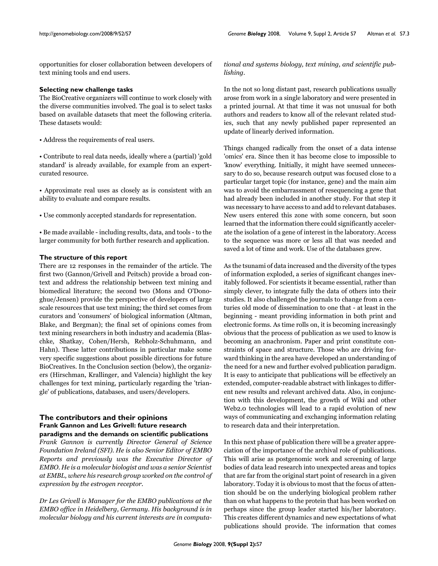opportunities for closer collaboration between developers of text mining tools and end users.

#### **Selecting new challenge tasks**

The BioCreative organizers will continue to work closely with the diverse communities involved. The goal is to select tasks based on available datasets that meet the following criteria. These datasets would:

• Address the requirements of real users.

• Contribute to real data needs, ideally where a (partial) 'gold standard' is already available, for example from an expertcurated resource.

• Approximate real uses as closely as is consistent with an ability to evaluate and compare results.

• Use commonly accepted standards for representation.

• Be made available - including results, data, and tools - to the larger community for both further research and application.

#### **The structure of this report**

There are 12 responses in the remainder of the article. The first two (Gannon/Grivell and Peitsch) provide a broad context and address the relationship between text mining and biomedical literature; the second two (Mons and O'Donoghue/Jensen) provide the perspective of developers of large scale resources that use text mining; the third set comes from curators and 'consumers' of biological information (Altman, Blake, and Bergman); the final set of opinions comes from text mining researchers in both industry and academia (Blaschke, Shatkay, Cohen/Hersh, Rebholz-Schuhmann, and Hahn). These latter contributions in particular make some very specific suggestions about possible directions for future BioCreatives. In the Conclusion section (below), the organizers (Hirschman, Krallinger, and Valencia) highlight the key challenges for text mining, particularly regarding the 'triangle' of publications, databases, and users/developers.

### **The contributors and their opinions Frank Gannon and Les Grivell: future research paradigms and the demands on scientific publications**

*Frank Gannon is currently Director General of Science Foundation Ireland (SFI). He is also Senior Editor of EMBO Reports and previously was the Executive Director of EMBO. He is a molecular biologist and was a senior Scientist at EMBL, where his research group worked on the control of expression by the estrogen receptor*.

*Dr Les Grivell is Manager for the EMBO publications at the EMBO office in Heidelberg, Germany. His background is in molecular biology and his current interests are in computa-* *tional and systems biology, text mining, and scientific publishing*.

In the not so long distant past, research publications usually arose from work in a single laboratory and were presented in a printed journal. At that time it was not unusual for both authors and readers to know all of the relevant related studies, such that any newly published paper represented an update of linearly derived information.

Things changed radically from the onset of a data intense 'omics' era. Since then it has become close to impossible to 'know' everything. Initially, it might have seemed unnecessary to do so, because research output was focused close to a particular target topic (for instance, gene) and the main aim was to avoid the embarrassment of resequencing a gene that had already been included in another study. For that step it was necessary to have access to and add to relevant databases. New users entered this zone with some concern, but soon learned that the information there could significantly accelerate the isolation of a gene of interest in the laboratory. Access to the sequence was more or less all that was needed and saved a lot of time and work. Use of the databases grew.

As the tsunami of data increased and the diversity of the types of information exploded, a series of significant changes inevitably followed. For scientists it became essential, rather than simply clever, to integrate fully the data of others into their studies. It also challenged the journals to change from a centuries old mode of dissemination to one that - at least in the beginning - meant providing information in both print and electronic forms. As time rolls on, it is becoming increasingly obvious that the process of publication as we used to know is becoming an anachronism. Paper and print constitute constraints of space and structure. Those who are driving forward thinking in the area have developed an understanding of the need for a new and further evolved publication paradigm. It is easy to anticipate that publications will be effectively an extended, computer-readable abstract with linkages to different new results and relevant archived data. Also, in conjunction with this development, the growth of Wiki and other Web2.0 technologies will lead to a rapid evolution of new ways of communicating and exchanging information relating to research data and their interpretation.

In this next phase of publication there will be a greater appreciation of the importance of the archival role of publications. This will arise as postgenomic work and screening of large bodies of data lead research into unexpected areas and topics that are far from the original start point of research in a given laboratory. Today it is obvious to most that the focus of attention should be on the underlying biological problem rather than on what happens to the protein that has been worked on perhaps since the group leader started his/her laboratory. This creates different dynamics and new expectations of what publications should provide. The information that comes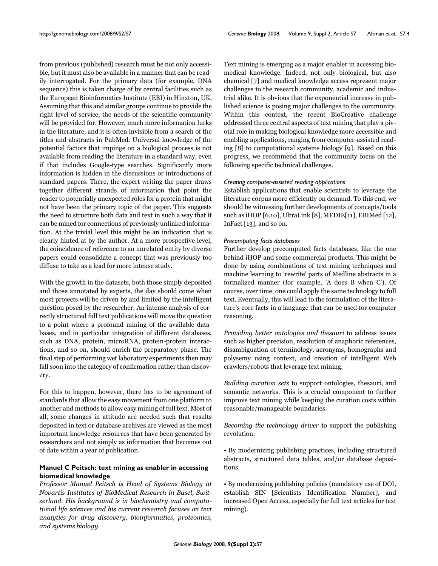from previous (published) research must be not only accessible, but it must also be available in a manner that can be readily interrogated. For the primary data (for example, DNA sequence) this is taken charge of by central facilities such as the European Bioinformatics Institute (EBI) in Hinxton, UK. Assuming that this and similar groups continue to provide the right level of service, the needs of the scientific community will be provided for. However, much more information lurks in the literature, and it is often invisible from a search of the titles and abstracts in PubMed. Universal knowledge of the potential factors that impinge on a biological process is not available from reading the literature in a standard way, even if that includes Google-type searches. Significantly more information is hidden in the discussions or introductions of standard papers. There, the expert writing the paper draws together different strands of information that point the reader to potentially unexpected roles for a protein that might not have been the primary topic of the paper. This suggests the need to structure both data and text in such a way that it can be mined for connections of previously unlinked information. At the trivial level this might be an indication that is clearly hinted at by the author. At a more prospective level, the coincidence of reference to an unrelated entity by diverse papers could consolidate a concept that was previously too diffuse to take as a lead for more intense study.

With the growth in the datasets, both those simply deposited and those annotated by experts, the day should come when most projects will be driven by and limited by the intelligent question posed by the researcher. An intense analysis of correctly structured full text publications will move the question to a point where a profound mining of the available databases, and in particular integration of different databases, such as DNA, protein, microRNA, protein-protein interactions, and so on, should enrich the preparatory phase. The final step of performing wet laboratory experiments then may fall soon into the category of confirmation rather than discovery.

For this to happen, however, there has to be agreement of standards that allow the easy movement from one platform to another and methods to allow easy mining of full text. Most of all, some changes in attitude are needed such that results deposited in text or database archives are viewed as the most important knowledge resources that have been generated by researchers and not simply as information that becomes out of date within a year of publication.

# **Manuel C Peitsch: text mining as enabler in accessing biomedical knowledge**

*Professor Manuel Peitsch is Head of Systems Biology at Novartis Institutes of BioMedical Research in Basel, Switzerland. His background is in biochemistry and computational life sciences and his current research focuses on text analytics for drug discovery, bioinformatics, proteomics, and systems biology*.

Text mining is emerging as a major enabler in accessing biomedical knowledge. Indeed, not only biological, but also chemical [7] and medical knowledge access represent major challenges to the research community, academic and industrial alike. It is obvious that the exponential increase in published science is posing major challenges to the community. Within this context, the recent BioCreative challenge addressed three central aspects of text mining that play a pivotal role in making biological knowledge more accessible and enabling applications, ranging from computer-assisted reading [8] to computational systems biology [9]. Based on this progress, we recommend that the community focus on the following specific technical challenges.

#### *Creating computer-assisted reading applications*

Establish applications that enable scientists to leverage the literature corpus more efficiently on demand. To this end, we should be witnessing further developments of concepts/tools such as iHOP [6,10], UltraLink [8], MEDIE[11], EBIMed [12], InFact [13], and so on.

#### *Precomputing facts databases*

Further develop precomputed facts databases, like the one behind iHOP and some commercial products. This might be done by using combinations of text mining techniques and machine learning to 'rewrite' parts of Medline abstracts in a formalized manner (for example, 'A does B when C'). Of course, over time, one could apply the same technology to full text. Eventually, this will lead to the formulation of the literature's core facts in a language that can be used for computer reasoning.

*Providing better ontologies and thesauri* to address issues such as higher precision, resolution of anaphoric references, disambiguation of terminology, acronyms, homographs and polysemy using context, and creation of intelligent Web crawlers/robots that leverage text mining.

*Building curation sets* to support ontologies, thesauri, and semantic networks. This is a crucial component to further improve text mining while keeping the curation costs within reasonable/manageable boundaries.

#### *Becoming the technology driver* to support the publishing revolution.

• By modernizing publishing practices, including structured abstracts, structured data tables, and/or database depositions.

• By modernizing publishing policies (mandatory use of DOI, establish SIN [Scientists Identification Number], and increased Open Access, especially for full text articles for text mining).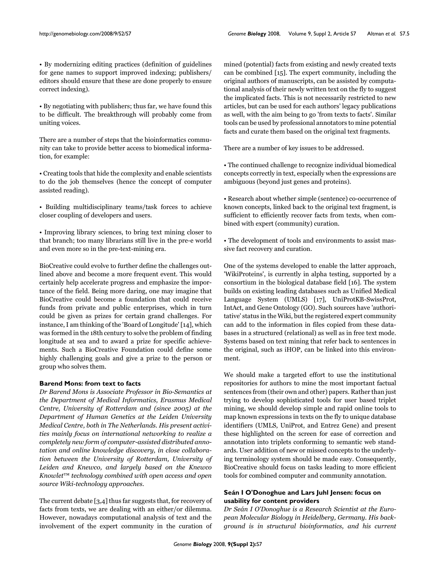• By modernizing editing practices (definition of guidelines for gene names to support improved indexing; publishers/ editors should ensure that these are done properly to ensure correct indexing).

• By negotiating with publishers; thus far, we have found this to be difficult. The breakthrough will probably come from uniting voices.

There are a number of steps that the bioinformatics community can take to provide better access to biomedical information, for example:

• Creating tools that hide the complexity and enable scientists to do the job themselves (hence the concept of computer assisted reading).

• Building multidisciplinary teams/task forces to achieve closer coupling of developers and users.

• Improving library sciences, to bring text mining closer to that branch; too many librarians still live in the pre-e world and even more so in the pre-text-mining era.

BioCreative could evolve to further define the challenges outlined above and become a more frequent event. This would certainly help accelerate progress and emphasize the importance of the field. Being more daring, one may imagine that BioCreative could become a foundation that could receive funds from private and public enterprises, which in turn could be given as prizes for certain grand challenges. For instance, I am thinking of the 'Board of Longitude' [14], which was formed in the 18th century to solve the problem of finding longitude at sea and to award a prize for specific achievements. Such a BioCreative Foundation could define some highly challenging goals and give a prize to the person or group who solves them.

#### **Barend Mons: from text to facts**

*Dr Barend Mons is Associate Professor in Bio-Semantics at the Department of Medical Informatics, Erasmus Medical Centre, University of Rotterdam and (since 2005) at the Department of Human Genetics at the Leiden University Medical Centre, both in The Netherlands. His present activities mainly focus on international networking to realize a completely new form of computer-assisted distributed annotation and online knowledge discovery, in close collaboration between the University of Rotterdam, University of Leiden and Knewco, and largely based on the Knewco Knowlet*™ *technology combined with open access and open source Wiki-technology approaches*.

The current debate [3,4] thus far suggests that, for recovery of facts from texts, we are dealing with an either/or dilemma. However, nowadays computational analysis of text and the involvement of the expert community in the curation of mined (potential) facts from existing and newly created texts can be combined [15]. The expert community, including the original authors of manuscripts, can be assisted by computational analysis of their newly written text on the fly to suggest the implicated facts. This is not necessarily restricted to new articles, but can be used for each authors' legacy publications as well, with the aim being to go 'from texts to facts'. Similar tools can be used by professional annotators to mine potential facts and curate them based on the original text fragments.

There are a number of key issues to be addressed.

• The continued challenge to recognize individual biomedical concepts correctly in text, especially when the expressions are ambiguous (beyond just genes and proteins).

• Research about whether simple (sentence) co-occurrence of known concepts, linked back to the original text fragment, is sufficient to efficiently recover facts from texts, when combined with expert (community) curation.

• The development of tools and environments to assist massive fact recovery and curation.

One of the systems developed to enable the latter approach, 'WikiProteins', is currently in alpha testing, supported by a consortium in the biological database field [16]. The system builds on existing leading databases such as Unified Medical Language System (UMLS) [17], UniProtKB-SwissProt, IntAct, and Gene Ontology (GO). Such sources have 'authoritative' status in the Wiki, but the registered expert community can add to the information in files copied from these databases in a structured (relational) as well as in free text mode. Systems based on text mining that refer back to sentences in the original, such as iHOP, can be linked into this environment.

We should make a targeted effort to use the institutional repositories for authors to mine the most important factual sentences from (their own and other) papers. Rather than just trying to develop sophisticated tools for user based triplet mining, we should develop simple and rapid online tools to map known expressions in texts on the fly to unique database identifiers (UMLS, UniProt, and Entrez Gene) and present these highlighted on the screen for ease of correction and annotation into triplets conforming to semantic web standards. User addition of new or missed concepts to the underlying terminology system should be made easy. Consequently, BioCreative should focus on tasks leading to more efficient tools for combined computer and community annotation.

### **Seán I O'Donoghue and Lars Juhl Jensen: focus on usability for content providers**

*Dr Seán I O'Donoghue is a Research Scientist at the European Molecular Biology in Heidelberg, Germany. His background is in structural bioinformatics, and his current*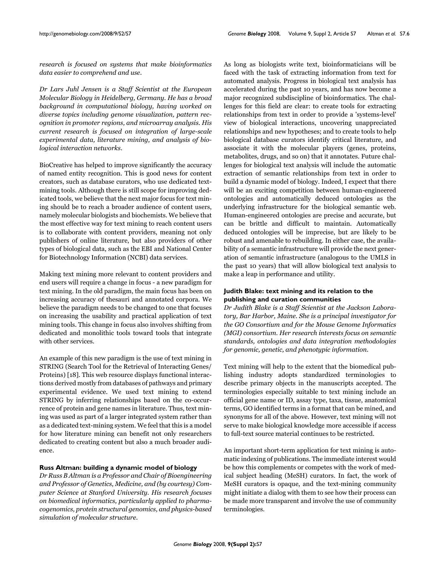*research is focused on systems that make bioinformatics data easier to comprehend and use*.

*Dr Lars Juhl Jensen is a Staff Scientist at the European Molecular Biology in Heidelberg, Germany. He has a broad background in computational biology, having worked on diverse topics including genome visualization, pattern recognition in promoter regions, and microarray analysis. His current research is focused on integration of large-scale experimental data, literature mining, and analysis of biological interaction networks*.

BioCreative has helped to improve significantly the accuracy of named entity recognition. This is good news for content creators, such as database curators, who use dedicated textmining tools. Although there is still scope for improving dedicated tools, we believe that the next major focus for text mining should be to reach a broader audience of content users, namely molecular biologists and biochemists. We believe that the most effective way for text mining to reach content users is to collaborate with content providers, meaning not only publishers of online literature, but also providers of other types of biological data, such as the EBI and National Center for Biotechnology Information (NCBI) data services.

Making text mining more relevant to content providers and end users will require a change in focus - a new paradigm for text mining. In the old paradigm, the main focus has been on increasing accuracy of thesauri and annotated corpora. We believe the paradigm needs to be changed to one that focuses on increasing the usability and practical application of text mining tools. This change in focus also involves shifting from dedicated and monolithic tools toward tools that integrate with other services.

An example of this new paradigm is the use of text mining in STRING (Search Tool for the Retrieval of Interacting Genes/ Proteins) [18]. This web resource displays functional interactions derived mostly from databases of pathways and primary experimental evidence. We used text mining to extend STRING by inferring relationships based on the co-occurrence of protein and gene names in literature. Thus, text mining was used as part of a larger integrated system rather than as a dedicated text-mining system. We feel that this is a model for how literature mining can benefit not only researchers dedicated to creating content but also a much broader audience.

#### **Russ Altman: building a dynamic model of biology**

*Dr Russ B Altman is a Professor and Chair of Bioengineering and Professor of Genetics, Medicine, and (by courtesy) Computer Science at Stanford University. His research focuses on biomedical informatics, particularly applied to pharmacogenomics, protein structural genomics, and physics-based simulation of molecular structure*.

As long as biologists write text, bioinformaticians will be faced with the task of extracting information from text for automated analysis. Progress in biological text analysis has accelerated during the past 10 years, and has now become a major recognized subdiscipline of bioinformatics. The challenges for this field are clear: to create tools for extracting relationships from text in order to provide a 'systems-level' view of biological interactions, uncovering unappreciated relationships and new hypotheses; and to create tools to help biological database curators identify critical literature, and associate it with the molecular players (genes, proteins, metabolites, drugs, and so on) that it annotates. Future challenges for biological text analysis will include the automatic extraction of semantic relationships from text in order to build a dynamic model of biology. Indeed, I expect that there will be an exciting competition between human-engineered ontologies and automatically deduced ontologies as the underlying infrastructure for the biological semantic web. Human-engineered ontologies are precise and accurate, but can be brittle and difficult to maintain. Automatically deduced ontologies will be imprecise, but are likely to be robust and amenable to rebuilding. In either case, the availability of a semantic infrastructure will provide the next generation of semantic infrastructure (analogous to the UMLS in the past 10 years) that will allow biological text analysis to make a leap in performance and utility.

### **Judith Blake: text mining and its relation to the publishing and curation communities**

*Dr Judith Blake is a Staff Scientist at the Jackson Laboratory, Bar Harbor, Maine. She is a principal investigator for the GO Consortium and for the Mouse Genome Informatics (MGI) consortium. Her research interests focus on semantic standards, ontologies and data integration methodologies for genomic, genetic, and phenotypic information*.

Text mining will help to the extent that the biomedical publishing industry adopts standardized terminologies to describe primary objects in the manuscripts accepted. The terminologies especially suitable to text mining include an official gene name or ID, assay type, taxa, tissue, anatomical terms, GO identified terms in a format that can be mined, and synonyms for all of the above. However, text mining will not serve to make biological knowledge more accessible if access to full-text source material continues to be restricted.

An important short-term application for text mining is automatic indexing of publications. The immediate interest would be how this complements or competes with the work of medical subject heading (MeSH) curators. In fact, the work of MeSH curators is opaque, and the text-mining community might initiate a dialog with them to see how their process can be made more transparent and involve the use of community terminologies.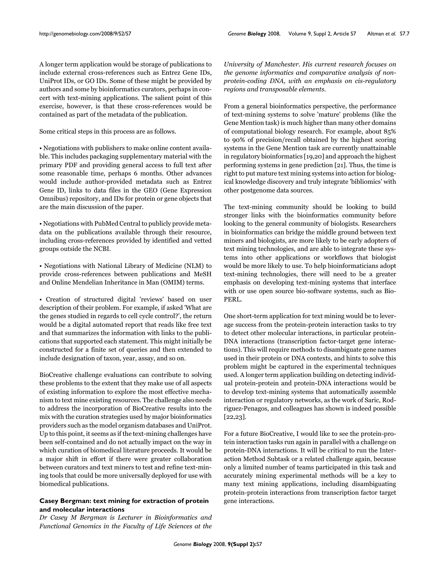A longer term application would be storage of publications to include external cross-references such as Entrez Gene IDs, UniProt IDs, or GO IDs. Some of these might be provided by authors and some by bioinformatics curators, perhaps in concert with text-mining applications. The salient point of this exercise, however, is that these cross-references would be contained as part of the metadata of the publication.

Some critical steps in this process are as follows.

• Negotiations with publishers to make online content available. This includes packaging supplementary material with the primary PDF and providing general access to full text after some reasonable time, perhaps 6 months. Other advances would include author-provided metadata such as Entrez Gene ID, links to data files in the GEO (Gene Expression Omnibus) repository, and IDs for protein or gene objects that are the main discussion of the paper.

• Negotiations with PubMed Central to publicly provide metadata on the publications available through their resource, including cross-references provided by identified and vetted groups outside the NCBI.

• Negotiations with National Library of Medicine (NLM) to provide cross-references between publications and MeSH and Online Mendelian Inheritance in Man (OMIM) terms.

• Creation of structured digital 'reviews' based on user description of their problem. For example, if asked 'What are the genes studied in regards to cell cycle control?', the return would be a digital automated report that reads like free text and that summarizes the information with links to the publications that supported each statement. This might initially be constructed for a finite set of queries and then extended to include designation of taxon, year, assay, and so on.

BioCreative challenge evaluations can contribute to solving these problems to the extent that they make use of all aspects of existing information to explore the most effective mechanism to text mine existing resources. The challenge also needs to address the incorporation of BioCreative results into the mix with the curation strategies used by major bioinformatics providers such as the model organism databases and UniProt. Up to this point, it seems as if the text-mining challenges have been self-contained and do not actually impact on the way in which curation of biomedical literature proceeds. It would be a major shift in effort if there were greater collaboration between curators and text miners to test and refine text-mining tools that could be more universally deployed for use with biomedical publications.

# **Casey Bergman: text mining for extraction of protein and molecular interactions**

*Dr Casey M Bergman is Lecturer in Bioinformatics and Functional Genomics in the Faculty of Life Sciences at the*

*University of Manchester. His current research focuses on the genome informatics and comparative analysis of nonprotein-coding DNA, with an emphasis on cis-regulatory regions and transposable elements*.

From a general bioinformatics perspective, the performance of text-mining systems to solve 'mature' problems (like the Gene Mention task) is much higher than many other domains of computational biology research. For example, about 85% to 90% of precision/recall obtained by the highest scoring systems in the Gene Mention task are currently unattainable in regulatory bioinformatics [19,20] and approach the highest performing systems in gene prediction [21]. Thus, the time is right to put mature text mining systems into action for biological knowledge discovery and truly integrate 'bibliomics' with other postgenome data sources.

The text-mining community should be looking to build stronger links with the bioinformatics community before looking to the general community of biologists. Researchers in bioinformatics can bridge the middle ground between text miners and biologists, are more likely to be early adopters of text mining technologies, and are able to integrate these systems into other applications or workflows that biologist would be more likely to use. To help bioinformaticians adopt text-mining technologies, there will need to be a greater emphasis on developing text-mining systems that interface with or use open source bio-software systems, such as Bio-PERL.

One short-term application for text mining would be to leverage success from the protein-protein interaction tasks to try to detect other molecular interactions, in particular protein-DNA interactions (transcription factor-target gene interactions). This will require methods to disambiguate gene names used in their protein or DNA contexts, and hints to solve this problem might be captured in the experimental techniques used. A longer term application building on detecting individual protein-protein and protein-DNA interactions would be to develop text-mining systems that automatically assemble interaction or regulatory networks, as the work of Saric, Rodriguez-Penagos, and colleagues has shown is indeed possible [22,23].

For a future BioCreative, I would like to see the protein-protein interaction tasks run again in parallel with a challenge on protein-DNA interactions. It will be critical to run the Interaction Method Subtask or a related challenge again, because only a limited number of teams participated in this task and accurately mining experimental methods will be a key to many text mining applications, including disambiguating protein-protein interactions from transcription factor target gene interactions.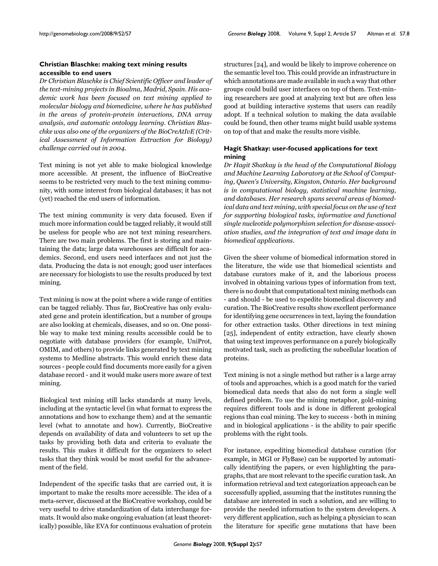# **Christian Blaschke: making text mining results accessible to end users**

*Dr Christian Blaschke is Chief Scientific Officer and leader of the text-mining projects in Bioalma, Madrid, Spain. His academic work has been focused on text mining applied to molecular biology and biomedicine, where he has published in the areas of protein-protein interactions, DNA array analysis, and automatic ontology learning. Christian Blaschke was also one of the organizers of the BioCreAtIvE (Critical Assessment of Information Extraction for Biology) challenge carried out in 2004*.

Text mining is not yet able to make biological knowledge more accessible. At present, the influence of BioCreative seems to be restricted very much to the text mining community, with some interest from biological databases; it has not (yet) reached the end users of information.

The text mining community is very data focused. Even if much more information could be tagged reliably, it would still be useless for people who are not text mining researchers. There are two main problems. The first is storing and maintaining the data; large data warehouses are difficult for academics. Second, end users need interfaces and not just the data. Producing the data is not enough; good user interfaces are necessary for biologists to use the results produced by text mining.

Text mining is now at the point where a wide range of entities can be tagged reliably. Thus far, BioCreative has only evaluated gene and protein identification, but a number of groups are also looking at chemicals, diseases, and so on. One possible way to make text mining results accessible could be to negotiate with database providers (for example, UniProt, OMIM, and others) to provide links generated by text mining systems to Medline abstracts. This would enrich these data sources - people could find documents more easily for a given database record - and it would make users more aware of text mining.

Biological text mining still lacks standards at many levels, including at the syntactic level (in what format to express the annotations and how to exchange them) and at the semantic level (what to annotate and how). Currently, BioCreative depends on availability of data and volunteers to set up the tasks by providing both data and criteria to evaluate the results. This makes it difficult for the organizers to select tasks that they think would be most useful for the advancement of the field.

Independent of the specific tasks that are carried out, it is important to make the results more accessible. The idea of a meta-server, discussed at the BioCreative workshop, could be very useful to drive standardization of data interchange formats. It would also make ongoing evaluation (at least theoretically) possible, like EVA for continuous evaluation of protein structures [24], and would be likely to improve coherence on the semantic level too. This could provide an infrastructure in which annotations are made available in such a way that other groups could build user interfaces on top of them. Text-mining researchers are good at analyzing text but are often less good at building interactive systems that users can readily adopt. If a technical solution to making the data available could be found, then other teams might build usable systems on top of that and make the results more visible.

# **Hagit Shatkay: user-focused applications for text mining**

*Dr Hagit Shatkay is the head of the Computational Biology and Machine Learning Laboratory at the School of Computing, Queen's University, Kingston, Ontario. Her background is in computational biology, statistical machine learning, and databases. Her research spans several areas of biomedical data and text mining, with special focus on the use of text for supporting biological tasks, informative and functional single nucleotide polymorphism selection for disease-association studies, and the integration of text and image data in biomedical applications*.

Given the sheer volume of biomedical information stored in the literature, the wide use that biomedical scientists and database curators make of it, and the laborious process involved in obtaining various types of information from text, there is no doubt that computational text mining methods can - and should - be used to expedite biomedical discovery and curation. The BioCreative results show excellent performance for identifying gene occurrences in text, laying the foundation for other extraction tasks. Other directions in text mining [25], independent of entity extraction, have clearly shown that using text improves performance on a purely biologically motivated task, such as predicting the subcellular location of proteins.

Text mining is not a single method but rather is a large array of tools and approaches, which is a good match for the varied biomedical data needs that also do not form a single well defined problem. To use the mining metaphor, gold-mining requires different tools and is done in different geological regions than coal mining. The key to success - both in mining and in biological applications - is the ability to pair specific problems with the right tools.

For instance, expediting biomedical database curation (for example, in MGI or FlyBase) can be supported by automatically identifying the papers, or even highlighting the paragraphs, that are most relevant to the specific curation task. An information retrieval and text categorization approach can be successfully applied, assuming that the institutes running the database are interested in such a solution, and are willing to provide the needed information to the system developers. A very different application, such as helping a physician to scan the literature for specific gene mutations that have been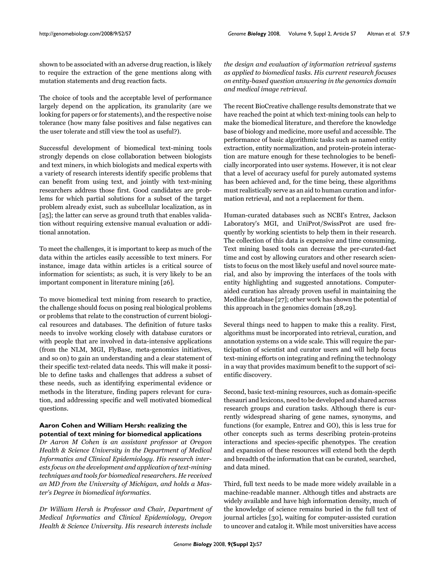shown to be associated with an adverse drug reaction, is likely to require the extraction of the gene mentions along with mutation statements and drug reaction facts.

The choice of tools and the acceptable level of performance largely depend on the application, its granularity (are we looking for papers or for statements), and the respective noise tolerance (how many false positives and false negatives can the user tolerate and still view the tool as useful?).

Successful development of biomedical text-mining tools strongly depends on close collaboration between biologists and text miners, in which biologists and medical experts with a variety of research interests identify specific problems that can benefit from using text, and jointly with text-mining researchers address those first. Good candidates are problems for which partial solutions for a subset of the target problem already exist, such as subcellular localization, as in [25]; the latter can serve as ground truth that enables validation without requiring extensive manual evaluation or additional annotation.

To meet the challenges, it is important to keep as much of the data within the articles easily accessible to text miners. For instance, image data within articles is a critical source of information for scientists; as such, it is very likely to be an important component in literature mining [26].

To move biomedical text mining from research to practice, the challenge should focus on posing real biological problems or problems that relate to the construction of current biological resources and databases. The definition of future tasks needs to involve working closely with database curators or with people that are involved in data-intensive applications (from the NLM, MGI, FlyBase, meta-genomics initiatives, and so on) to gain an understanding and a clear statement of their specific text-related data needs. This will make it possible to define tasks and challenges that address a subset of these needs, such as identifying experimental evidence or methods in the literature, finding papers relevant for curation, and addressing specific and well motivated biomedical questions.

# **Aaron Cohen and William Hersh: realizing the potential of text mining for biomedical applications**

*Dr Aaron M Cohen is an assistant professor at Oregon Health & Science University in the Department of Medical Informatics and Clinical Epidemiology. His research interests focus on the development and application of text-mining techniques and tools for biomedical researchers. He received an MD from the University of Michigan, and holds a Master's Degree in biomedical informatics*.

*Dr William Hersh is Professor and Chair, Department of Medical Informatics and Clinical Epidemiology, Oregon Health & Science University. His research interests include* *the design and evaluation of information retrieval systems as applied to biomedical tasks. His current research focuses on entity-based question answering in the genomics domain and medical image retrieval*.

The recent BioCreative challenge results demonstrate that we have reached the point at which text-mining tools can help to make the biomedical literature, and therefore the knowledge base of biology and medicine, more useful and accessible. The performance of basic algorithmic tasks such as named entity extraction, entity normalization, and protein-protein interaction are mature enough for these technologies to be beneficially incorporated into user systems. However, it is not clear that a level of accuracy useful for purely automated systems has been achieved and, for the time being, these algorithms must realistically serve as an aid to human curation and information retrieval, and not a replacement for them.

Human-curated databases such as NCBI's Entrez, Jackson Laboratory's MGI, and UniProt/SwissProt are used frequently by working scientists to help them in their research. The collection of this data is expensive and time consuming. Text mining based tools can decrease the per-curated-fact time and cost by allowing curators and other research scientists to focus on the most likely useful and novel source material, and also by improving the interfaces of the tools with entity highlighting and suggested annotations. Computeraided curation has already proven useful in maintaining the Medline database [27]; other work has shown the potential of this approach in the genomics domain [28,29].

Several things need to happen to make this a reality. First, algorithms must be incorporated into retrieval, curation, and annotation systems on a wide scale. This will require the participation of scientist and curator users and will help focus text-mining efforts on integrating and refining the technology in a way that provides maximum benefit to the support of scientific discovery.

Second, basic text-mining resources, such as domain-specific thesauri and lexicons, need to be developed and shared across research groups and curation tasks. Although there is currently widespread sharing of gene names, synonyms, and functions (for example, Entrez and GO), this is less true for other concepts such as terms describing protein-proteins interactions and species-specific phenotypes. The creation and expansion of these resources will extend both the depth and breadth of the information that can be curated, searched, and data mined.

Third, full text needs to be made more widely available in a machine-readable manner. Although titles and abstracts are widely available and have high information density, much of the knowledge of science remains buried in the full text of journal articles [30], waiting for computer-assisted curation to uncover and catalog it. While most universities have access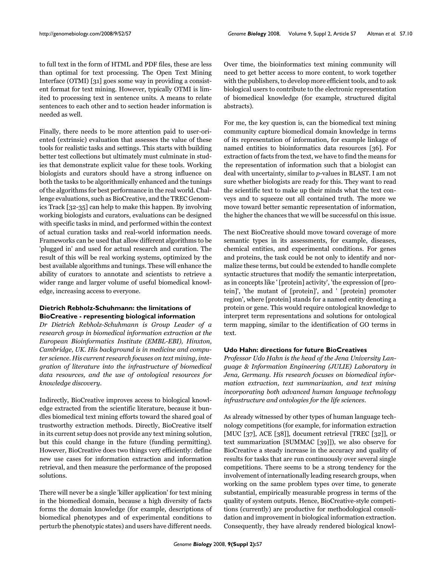to full text in the form of HTML and PDF files, these are less than optimal for text processing. The Open Text Mining Interface (OTMI) [31] goes some way in providing a consistent format for text mining. However, typically OTMI is limited to processing text in sentence units. A means to relate sentences to each other and to section header information is needed as well.

Finally, there needs to be more attention paid to user-oriented (extrinsic) evaluation that assesses the value of these tools for realistic tasks and settings. This starts with building better test collections but ultimately must culminate in studies that demonstrate explicit value for these tools. Working biologists and curators should have a strong influence on both the tasks to be algorithmically enhanced and the tunings of the algorithms for best performance in the real world. Challenge evaluations, such as BioCreative, and the TREC Genomics Track [32-35] can help to make this happen. By involving working biologists and curators, evaluations can be designed with specific tasks in mind, and performed within the context of actual curation tasks and real-world information needs. Frameworks can be used that allow different algorithms to be 'plugged in' and used for actual research and curation. The result of this will be real working systems, optimized by the best available algorithms and tunings. These will enhance the ability of curators to annotate and scientists to retrieve a wider range and larger volume of useful biomedical knowledge, increasing access to everyone.

# **Dietrich Rebholz-Schuhmann: the limitations of BioCreative - representing biological information**

*Dr Dietrich Rebholz-Schuhmann is Group Leader of a research group in biomedical information extraction at the European Bioinformatics Institute (EMBL-EBI), Hinxton, Cambridge, UK. His background is in medicine and computer science. His current research focuses on text mining, integration of literature into the infrastructure of biomedical data resources, and the use of ontological resources for knowledge discovery*.

Indirectly, BioCreative improves access to biological knowledge extracted from the scientific literature, because it bundles biomedical text mining efforts toward the shared goal of trustworthy extraction methods. Directly, BioCreative itself in its current setup does not provide any text mining solution, but this could change in the future (funding permitting). However, BioCreative does two things very efficiently: define new use cases for information extraction and information retrieval, and then measure the performance of the proposed solutions.

There will never be a single 'killer application' for text mining in the biomedical domain, because a high diversity of facts forms the domain knowledge (for example, descriptions of biomedical phenotypes and of experimental conditions to perturb the phenotypic states) and users have different needs.

Over time, the bioinformatics text mining community will need to get better access to more content, to work together with the publishers, to develop more efficient tools, and to ask biological users to contribute to the electronic representation of biomedical knowledge (for example, structured digital abstracts).

For me, the key question is, can the biomedical text mining community capture biomedical domain knowledge in terms of its representation of information, for example linkage of named entities to bioinformatics data resources [36]. For extraction of facts from the text, we have to find the means for the representation of information such that a biologist can deal with uncertainty, similar to *p*-values in BLAST. I am not sure whether biologists are ready for this. They want to read the scientific text to make up their minds what the text conveys and to squeeze out all contained truth. The more we move toward better semantic representation of information, the higher the chances that we will be successful on this issue.

The next BioCreative should move toward coverage of more semantic types in its assessments, for example, diseases, chemical entities, and experimental conditions. For genes and proteins, the task could be not only to identify and normalize these terms, but could be extended to handle complete syntactic structures that modify the semantic interpretation, as in concepts like ' [protein] activity', 'the expression of [protein]', 'the mutant of [protein]', and ' [protein] promoter region', where [protein] stands for a named entity denoting a protein or gene. This would require ontological knowledge to interpret term representations and solutions for ontological term mapping, similar to the identification of GO terms in text.

# **Udo Hahn: directions for future BioCreatives**

*Professor Udo Hahn is the head of the Jena University Language & Information Engineering (JULIE) Laboratory in Jena, Germany. His research focuses on biomedical information extraction, text summarization, and text mining incorporating both advanced human language technology infrastructure and ontologies for the life sciences*.

As already witnessed by other types of human language technology competitions (for example, for information extraction [MUC [37], ACE [38]], document retrieval [TREC [32]], or text summarization [SUMMAC [39]]), we also observe for BioCreative a steady increase in the accuracy and quality of results for tasks that are run continuously over several single competitions. There seems to be a strong tendency for the involvement of internationally leading research groups, when working on the same problem types over time, to generate substantial, empirically measurable progress in terms of the quality of system outputs. Hence, BioCreative-style competitions (currently) are productive for methodological consolidation and improvement in biological information extraction. Consequently, they have already rendered biological knowl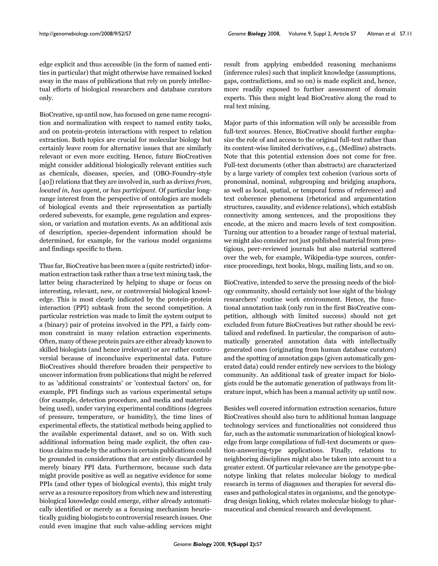edge explicit and thus accessible (in the form of named entities in particular) that might otherwise have remained locked away in the mass of publications that rely on purely intellectual efforts of biological researchers and database curators only.

BioCreative, up until now, has focused on gene name recognition and normalization with respect to named entity tasks, and on protein-protein interactions with respect to relation extraction. Both topics are crucial for molecular biology but certainly leave room for alternative issues that are similarly relevant or even more exciting. Hence, future BioCreatives might consider additional biologically relevant entities such as chemicals, diseases, species, and (OBO-Foundry-style [40]) relations that they are involved in, such as *derives from*, *located in*, *has agent*, or *has participant*. Of particular longrange interest from the perspective of ontologies are models of biological events and their representation as partially ordered subevents, for example, gene regulation and expression, or variation and mutation events. As an additional axis of description, species-dependent information should be determined, for example, for the various model organisms and findings specific to them.

Thus far, BioCreative has been more a (quite restricted) information extraction task rather than a true text mining task, the latter being characterized by helping to shape or focus on interesting, relevant, new, or controversial biological knowledge. This is most clearly indicated by the protein-protein interaction (PPI) subtask from the second competition. A particular restriction was made to limit the system output to a (binary) pair of proteins involved in the PPI, a fairly common constraint in many relation extraction experiments. Often, many of these protein pairs are either already known to skilled biologists (and hence irrelevant) or are rather controversial because of inconclusive experimental data. Future BioCreatives should therefore broaden their perspective to uncover information from publications that might be referred to as 'additional constraints' or 'contextual factors' on, for example, PPI findings such as various experimental setups (for example, detection procedure, and media and materials being used), under varying experimental conditions (degrees of pressure, temperature, or humidity), the time lines of experimental effects, the statistical methods being applied to the available experimental dataset, and so on. With such additional information being made explicit, the often cautious claims made by the authors in certain publications could be grounded in considerations that are entirely discarded by merely binary PPI data. Furthermore, because such data might provide positive as well as negative evidence for some PPIs (and other types of biological events), this might truly serve as a resource repository from which new and interesting biological knowledge could emerge, either already automatically identified or merely as a focusing mechanism heuristically guiding biologists to controversial research issues. One could even imagine that such value-adding services might result from applying embedded reasoning mechanisms (inference rules) such that implicit knowledge (assumptions, gaps, contradictions, and so on) is made explicit and, hence, more readily exposed to further assessment of domain experts. This then might lead BioCreative along the road to real text mining.

Major parts of this information will only be accessible from full-text sources. Hence, BioCreative should further emphasize the role of and access to the original full-text rather than its content-wise limited derivatives, e.g., (Medline) abstracts. Note that this potential extension does not come for free. Full-text documents (other than abstracts) are characterized by a large variety of complex text cohesion (various sorts of pronominal, nominal, subgrouping and bridging anaphora, as well as local, spatial, or temporal forms of reference) and text coherence phenomena (rhetorical and argumentation structures, causality, and evidence relations), which establish connectivity among sentences, and the propositions they encode, at the micro and macro levels of text composition. Turning our attention to a broader range of textual material, we might also consider not just published material from prestigious, peer-reviewed journals but also material scattered over the web, for example, Wikipedia-type sources, conference proceedings, text books, blogs, mailing lists, and so on.

BioCreative, intended to serve the pressing needs of the biology community, should certainly not lose sight of the biology researchers' routine work environment. Hence, the functional annotation task (only run in the first BioCreative competition, although with limited success) should not get excluded from future BioCreatives but rather should be revitalized and redefined. In particular, the comparison of automatically generated annotation data with intellectually generated ones (originating from human database curators) and the spotting of annotation gaps (given automatically generated data) could render entirely new services to the biology community. An additional task of greater impact for biologists could be the automatic generation of pathways from literature input, which has been a manual activity up until now.

Besides well covered information extraction scenarios, future BioCreatives should also turn to additional human language technology services and functionalities not considered thus far, such as the automatic summarization of biological knowledge from large compilations of full-text documents or question-answering-type applications. Finally, relations to neighboring disciplines might also be taken into account to a greater extent. Of particular relevance are the genotype-phenotype linking that relates molecular biology to medical research in terms of diagnoses and therapies for several diseases and pathological states in organisms, and the genotypedrug design linking, which relates molecular biology to pharmaceutical and chemical research and development.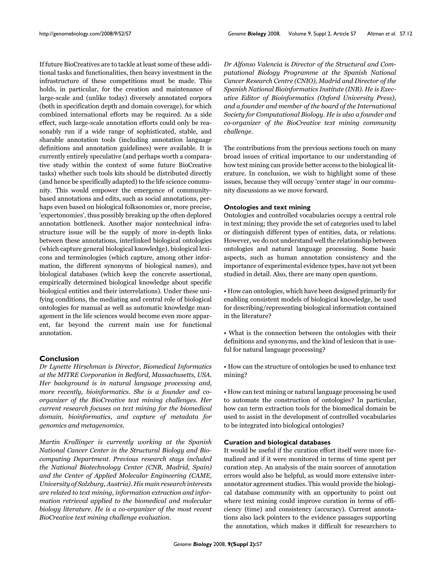If future BioCreatives are to tackle at least some of these additional tasks and functionalities, then heavy investment in the infrastructure of these competitions must be made. This holds, in particular, for the creation and maintenance of large-scale and (unlike today) diversely annotated corpora (both in specification depth and domain coverage), for which combined international efforts may be required. As a side effect, such large-scale annotation efforts could only be reasonably run if a wide range of sophisticated, stable, and sharable annotation tools (including annotation language definitions and annotation guidelines) were available. It is currently entirely speculative (and perhaps worth a comparative study within the context of some future BioCreative tasks) whether such tools kits should be distributed directly (and hence be specifically adapted) to the life science community. This would empower the emergence of communitybased annotations and edits, such as social annotations, perhaps even based on biological folksonomies or, more precise, 'expertonomies', thus possibly breaking up the often deplored annotation bottleneck. Another major nontechnical infrastructure issue will be the supply of more in-depth links between these annotations, interlinked biological ontologies (which capture general biological knowledge), biological lexicons and terminologies (which capture, among other information, the different synonyms of biological names), and biological databases (which keep the concrete assertional, empirically determined biological knowledge about specific biological entities and their interrelations). Under these unifying conditions, the mediating and central role of biological ontologies for manual as well as automatic knowledge management in the life sciences would become even more apparent, far beyond the current main use for functional annotation.

# **Conclusion**

*Dr Lynette Hirschman is Director, Biomedical Informatics at the MITRE Corporation in Bedford, Massachusetts, USA. Her background is in natural language processing and, more recently, bioinformatics. She is a founder and coorganizer of the BioCreative text mining challenges. Her current research focuses on text mining for the biomedical domain, bioinformatics, and capture of metadata for genomics and metagenomics*.

*Martin Krallinger is currently working at the Spanish National Cancer Center in the Structural Biology and Biocomputing Department. Previous research stays included the National Biotechnology Center (CNB, Madrid, Spain) and the Center of Applied Molecular Engineering (CAME, University of Salzburg, Austria). His main research interests are related to text mining, information extraction and information retrieval applied to the biomedical and molecular biology literature. He is a co-organizer of the most recent BioCreative text mining challenge evaluation*.

*Dr Alfonso Valencia is Director of the Structural and Computational Biology Programme at the Spanish National Cancer Research Centre (CNIO), Madrid and Director of the Spanish National Bioinformatics Institute (INB). He is Executive Editor of Bioinformatics (Oxford University Press), and a founder and member of the board of the International Society for Computational Biology. He is also a founder and co-organizer of the BioCreative text mining community challenge*.

The contributions from the previous sections touch on many broad issues of critical importance to our understanding of how text mining can provide better access to the biological literature. In conclusion, we wish to highlight some of these issues, because they will occupy 'center stage' in our community discussions as we move forward.

#### **Ontologies and text mining**

Ontologies and controlled vocabularies occupy a central role in text mining; they provide the set of categories used to label or distinguish different types of entities, data, or relations. However, we do not understand well the relationship between ontologies and natural language processing. Some basic aspects, such as human annotation consistency and the importance of experimental evidence types, have not yet been studied in detail. Also, there are many open questions.

• How can ontologies, which have been designed primarily for enabling consistent models of biological knowledge, be used for describing/representing biological information contained in the literature?

• What is the connection between the ontologies with their definitions and synonyms, and the kind of lexicon that is useful for natural language processing?

• How can the structure of ontologies be used to enhance text mining?

• How can text mining or natural language processing be used to automate the construction of ontologies? In particular, how can term extraction tools for the biomedical domain be used to assist in the development of controlled vocabularies to be integrated into biological ontologies?

# **Curation and biological databases**

It would be useful if the curation effort itself were more formalized and if it were monitored in terms of time spent per curation step. An analysis of the main sources of annotation errors would also be helpful, as would more extensive interannotator agreement studies. This would provide the biological database community with an opportunity to point out where text mining could improve curation in terms of efficiency (time) and consistency (accuracy). Current annotations also lack pointers to the evidence passages supporting the annotation, which makes it difficult for researchers to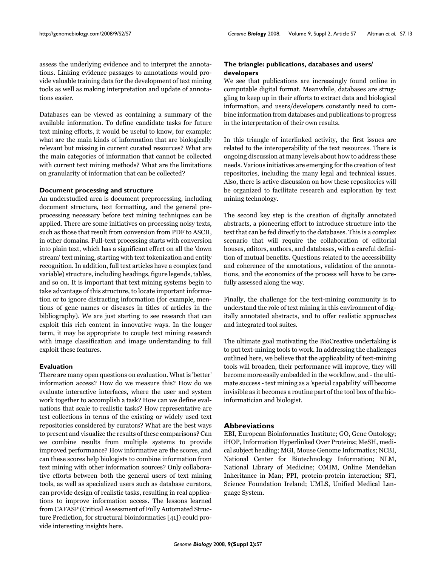assess the underlying evidence and to interpret the annotations. Linking evidence passages to annotations would provide valuable training data for the development of text mining tools as well as making interpretation and update of annotations easier.

Databases can be viewed as containing a summary of the available information. To define candidate tasks for future text mining efforts, it would be useful to know, for example: what are the main kinds of information that are biologically relevant but missing in current curated resources? What are the main categories of information that cannot be collected with current text mining methods? What are the limitations on granularity of information that can be collected?

#### **Document processing and structure**

An understudied area is document preprocessing, including document structure, text formatting, and the general preprocessing necessary before text mining techniques can be applied. There are some initiatives on processing noisy texts, such as those that result from conversion from PDF to ASCII, in other domains. Full-text processing starts with conversion into plain text, which has a significant effect on all the 'down stream' text mining, starting with text tokenization and entity recognition. In addition, full text articles have a complex (and variable) structure, including headings, figure legends, tables, and so on. It is important that text mining systems begin to take advantage of this structure, to locate important information or to ignore distracting information (for example, mentions of gene names or diseases in titles of articles in the bibliography). We are just starting to see research that can exploit this rich content in innovative ways. In the longer term, it may be appropriate to couple text mining research with image classification and image understanding to full exploit these features.

#### **Evaluation**

There are many open questions on evaluation. What is 'better' information access? How do we measure this? How do we evaluate interactive interfaces, where the user and system work together to accomplish a task? How can we define evaluations that scale to realistic tasks? How representative are test collections in terms of the existing or widely used text repositories considered by curators? What are the best ways to present and visualize the results of these comparisons? Can we combine results from multiple systems to provide improved performance? How informative are the scores, and can these scores help biologists to combine information from text mining with other information sources? Only collaborative efforts between both the general users of text mining tools, as well as specialized users such as database curators, can provide design of realistic tasks, resulting in real applications to improve information access. The lessons learned from CAFASP (Critical Assessment of Fully Automated Structure Prediction, for structural bioinformatics [41]) could provide interesting insights here.

#### **The triangle: publications, databases and users/ developers**

We see that publications are increasingly found online in computable digital format. Meanwhile, databases are struggling to keep up in their efforts to extract data and biological information, and users/developers constantly need to combine information from databases and publications to progress in the interpretation of their own results.

In this triangle of interlinked activity, the first issues are related to the interoperability of the text resources. There is ongoing discussion at many levels about how to address these needs. Various initiatives are emerging for the creation of text repositories, including the many legal and technical issues. Also, there is active discussion on how these repositories will be organized to facilitate research and exploration by text mining technology.

The second key step is the creation of digitally annotated abstracts, a pioneering effort to introduce structure into the text that can be fed directly to the databases. This is a complex scenario that will require the collaboration of editorial houses, editors, authors, and databases, with a careful definition of mutual benefits. Questions related to the accessibility and coherence of the annotations, validation of the annotations, and the economics of the process will have to be carefully assessed along the way.

Finally, the challenge for the text-mining community is to understand the role of text mining in this environment of digitally annotated abstracts, and to offer realistic approaches and integrated tool suites.

The ultimate goal motivating the BioCreative undertaking is to put text-mining tools to work. In addressing the challenges outlined here, we believe that the applicability of text-mining tools will broaden, their performance will improve, they will become more easily embedded in the workflow, and - the ultimate success - text mining as a 'special capability' will become invisible as it becomes a routine part of the tool box of the bioinformatician and biologist.

#### **Abbreviations**

EBI, European Bioinformatics Institute; GO, Gene Ontology; iHOP, Information Hyperlinked Over Proteins; MeSH, medical subject heading; MGI, Mouse Genome Informatics; NCBI, National Center for Biotechnology Information; NLM, National Library of Medicine; OMIM, Online Mendelian Inheritance in Man; PPI, protein-protein interaction; SFI, Science Foundation Ireland; UMLS, Unified Medical Language System.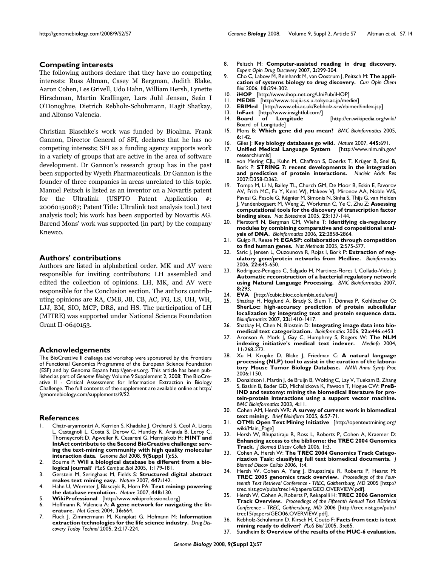#### **Competing interests**

The following authors declare that they have no competing interests: Russ Altman, Casey M Bergman, Judith Blake, Aaron Cohen, Les Grivell, Udo Hahn, William Hersh, Lynette Hirschman, Martin Krallinger, Lars Juhl Jensen, Seán I O'Donoghue, Dietrich Rebholz-Schuhmann, Hagit Shatkay, and Alfonso Valencia.

Christian Blaschke's work was funded by Bioalma. Frank Gannon, Director General of SFI, declares that he has no competing interests; SFI as a funding agency supports work in a variety of groups that are active in the area of software development. Dr Gannon's research group has in the past been supported by Wyeth Pharmaceuticals. Dr Gannon is the founder of three companies in areas unrelated to this topic. Manuel Peitsch is listed as an inventor on a Novartis patent for the Ultralink (USPTO Patent Application #: 20060150087; Patent Title: Ultralink text analysis tool.) text analysis tool; his work has been supported by Novartis AG. Barend Mons' work was supported (in part) by the company Knewco.

#### **Authors' contributions**

Authors are listed in alphabetical order. MK and AV were responsible for inviting contributors; LH assembled and edited the collection of opinions. LH, MK, and AV were responsible for the Conclusion section. The authors contributing opinions are RA, CMB, JB, CB, AC, FG, LS, UH, WH, LJJ, BM, SIO, MCP, DRS, and HS. The participation of LH (MITRE) was supported under National Science Foundation Grant II-0640153.

#### **Acknowledgements**

The BioCreative II challenge and workshop were sponsored by the Frontiers of Functional Genomics Programme of the European Science Foundation (ESF) and by Genoma Espana http://gen-es.org. This article has been published as part of *Genome Biology* [Volume 9 Supplement 2, 2008: The BioCre](http://genomebiology.com/supplements/9/S2)[ative II - Critical Assessment for Information Extraction in Biology](http://genomebiology.com/supplements/9/S2) Challenge. The full contents of the supplement are available online at http:/ /genomebiology.com/supplements/9/S2.

#### **References**

- 1. Chatr-aryamontri A, Kerrien S, Khadake J, Orchard S, Ceol A, Licata L, Castagnoli L, Costa S, Derow C, Huntley R, Aranda B, Leroy C, Thorneycroft D, Apweiler R, Cesareni G, Hermjakob H: **MINT and IntAct contribute to the Second BioCreative challenge: serving the text-mining community with high quality molecular interaction data.** *Genome Biol* 2008, **9(Suppl 1):**S5.
- 2. Bourne P: **Will a biological database be different from a biological journal?** *PLoS Comput Biol* 2005, **1:**179-181.
- 3. Gerstein M, Seringhaus M, Fields S: **Structured digital abstract makes text mining easy.** *Nature* 2007, **447:**142.
- 4. Hahn U, Wermter J, Blasczyk R, Horn PA: **Text mining: powering the database revolution.** *Nature* 2007, **448:**130.
- 5. **WikiProfessional** [\[http://www.wikiprofessional.org\]](http://www.wikiprofessional.info)
- 6. Hoffmann R, Valencia A: **A gene network for navigating the literature.** *Nat Genet* 2004, **36:**664.
- 7. Fluck J, Zimmermann M, Kurapkat G, Hofmann M: **Information extraction technologies for the life science industry.** *Drug Discovery Today Technol* 2005, **2:**217-224.
- 8. Peitsch M: **Computer-assisted reading in drug discovery.** *Expert Opin Drug Discovery* 2007, **2:**299-304.
- 9. Cho C, Labow M, Reinhardt M, van Oostrum J, Peitsch M: **The application of systems biology to drug discovery.** *Curr Opin Chem Biol* 2006, **10:**294-302.
- 10. **iHOP** [\[http://www.ihop-net.org/UniPub/iHOP\]](http://www.ihop-net.org/UniPub/iHOP)
- 11. **MEDIE** [\[http://www-tsujii.is.s.u-tokyo.ac.jp/medie/\]](http://www-tsujii.is.s.u-tokyo.ac.jp/medie/)
- 12. **EBIMed** [\[http://www.ebi.ac.uk/Rebholz-srv/ebimed/index.jsp\]](http://www.ebi.ac.uk/Rebholz-srv/ebimed/index.jsp)<br>13. InFact [http://www.insightful.com/]
- InFact [\[http://www.insightful.com/\]](http://www.insightful.com/)<br>Board of Longitude
- 14. **Board of Longitude** [\[http://en.wikipedia.org/wiki/](http://en.wikipedia.org/wiki/Board_of_Longitude) [Board\\_of\\_Longitude\]](http://en.wikipedia.org/wiki/Board_of_Longitude)
- 15. Mons B: **Which gene did you mean?** *BMC Bioinformatics* 2005, **6:**142.
- 16. Giles J: **Key biology databases go wiki.** *Nature* 2007, **445:**691.
- 17. **Unified Medical Language System** [\[http://www.nlm.nih.gov/](http://www.nlm.nih.gov/research/umls) [research/umls\]](http://www.nlm.nih.gov/research/umls)
- 18. von Mering CJL, Kuhn M, Chaffron S, Doerks T, Krüger B, Snel B, Bork P: **STRING 7: recent developments in the integration and prediction of protein interactions.** *Nucleic Acids Res* 2007:D358-D362.
- 19. Tompa M, Li N, Bailey TL, Church GM, De Moor B, Eskin E, Favorov AV, Frith MC, Fu Y, Kent WJ, Makeev VJ, Mironov AA, Noble WS, Pavesi G, Pesole G, Régnier M, Simonis N, Sinha S, Thijs G, van Helden J, Vandenbogaert M, Weng Z, Workman C, Ye C, Zhu Z: **Assessing computational tools for the discovery of transcription factor binding sites.** *Nat Biotechnol* 2005, **23:**137-144.
- 20. Pierstorff N, Bergman CM, Wiehe T: **Identifying cis-regulatory modules by combining comparative and compositional analysis of DNA.** *Bioinformatics* 2006, **22:**2858-2864.
- 21. Guigo R, Reese M: **EGASP: collaboration through competition to find human genes.** *Nat Methods* 2005, **2:**575-577.
- 22. Saric J, Jensen L, Ouzounova R, Rojas I, Bork P: **Extraction of regulatory gene/protein networks from Medline.** *Bioinformatics* 2006, **22:**645-650.
- 23. Rodriguez-Penagos C, Salgado H, Martinez-Flores I, Collado-Vides J: **Automatic reconstruction of a bacterial regulatory network using Natural Language Processing.** *BMC Bioinformatics* 2007, **8:**293.
- 24. **EVA** [\[http://cubic.bioc.columbia.edu/eva/\]](http://cubic.bioc.columbia.edu/eva/)
- 25. Shatkay H, Höglund A, Brady S, Blum T, Dönnes P, Kohlbacher O: **SherLoc: high-accuracy prediction of protein subcellular localization by integrating text and protein sequence data.** *Bioinformatics* 2007, **23:**1410-1417.
- 26. Shatkay H, Chen N, Blostein D: **Integrating image data into biomedical text categorization.** *Bioinformatics* 2006, **22:**e446-e453.
- 27. Aronson A, Mork J, Gay C, Humphrey S, Rogers W: **The NLM indexing initiative's medical text indexer.** *Medinfo* 2004, **11:**268-272.
- 28. Xu H, Krupke D, Blake J, Friedman C: **A natural language processing (NLP) tool to assist in the curation of the laboratory Mouse Tumor Biology Database.** *AMIA Annu Symp Proc* 2006:1150.
- 29. Donaldson I, Martin J, de Bruijn B, Wolting C, Lay V, Tuekam B, Zhang S, Baskin B, Bader GD, Michalickova K, Pawson T, Hogue CW: **PreB-IND and textomy: mining the biomedical literature for protein-protein interactions using a support vector machine.** *BMC Bioinformatics* 2003, **4:**11.
- 30. Cohen AM, Hersh WR: **A survey of current work in biomedical text mining.** *Brief Bioinform* 2005, **6:**57-71.
- 31. **OTMI: Open Text Mining Initiative** [\[http://opentextmining.org/](http://opentextmining.org/wiki/Main_Page) [wiki/Main\\_Page\]](http://opentextmining.org/wiki/Main_Page)
- 32. Hersh W, Bhupatiraju R, Ross L, Roberts P, Cohen A, Kraemer D: **Enhancing access to the bibliome: the TREC 2004 Genomics Track.** *J Biomed Discov Collab* 2006, **1:**3.
- 33. Cohen A, Hersh W: **The TREC 2004 Genomics Track Categorization Task: classifying full text biomedical documents.** *J Biomed Discov Collab* 2006, **1:**4.
- 34. Hersh W, Cohen A, Yang J, Bhupatiraju R, Roberts P, Hearst M: **TREC 2005 genomics track overview.** *Proceedings of the Fourteenth Text Retrieval Conference - TREC, Gaithersburg, MD* [2005 \[http://](http://trec.nist.gov/pubs/trec14/papers/GEO.OVERVIEW.pdf) [trec.nist.gov/pubs/trec14/papers/GEO.OVERVIEW.pdf\].](http://trec.nist.gov/pubs/trec14/papers/GEO.OVERVIEW.pdf)
- 35. Hersh W, Cohen A, Roberts P, Rekapalli H: **TREC 2006 Genomics Track Overview.** *Proceedings of the Fifteenth Annual Text REtrieval Conference - TREC, Gaithersburg, MD* [2006 \[http://trec.nist.gov/pubs/](http://trec.nist.gov/pubs/trec15/papers/GEO06.OVERVIEW.pdf) [trec15/papers/GEO06.OVERVIEW.pdf\].](http://trec.nist.gov/pubs/trec15/papers/GEO06.OVERVIEW.pdf)
- 36. Rebholz-Schuhmann D, Kirsch H, Couto F: **Facts from text: is text mining ready to deliver?** *PLoS Biol* 2005, **3:**e65.
- 37. Sundheim B: **Overview of the results of the MUC-6 evaluation.**